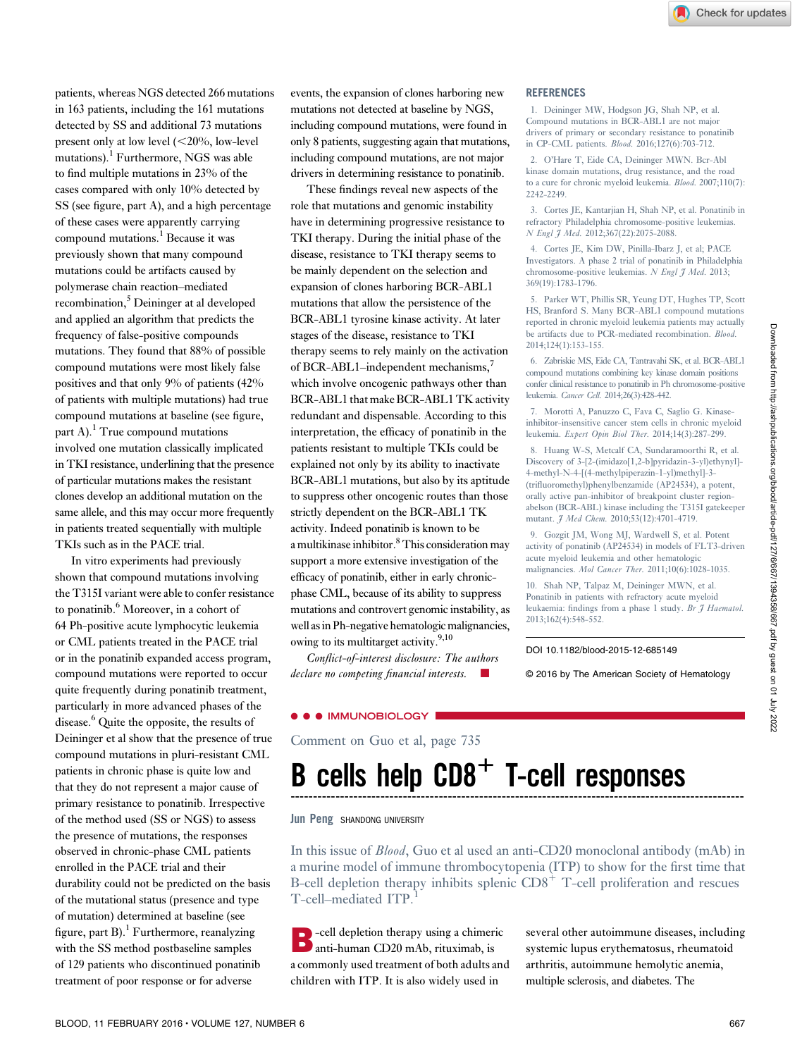patients, whereas NGS detected 266 mutations in 163 patients, including the 161 mutations detected by SS and additional 73 mutations present only at low level  $(<20\%$ , low-level mutations).<sup>1</sup> Furthermore, NGS was able to find multiple mutations in 23% of the cases compared with only 10% detected by SS (see figure, part A), and a high percentage of these cases were apparently carrying compound mutations.<sup>1</sup> Because it was previously shown that many compound mutations could be artifacts caused by polymerase chain reaction–mediated recombination,<sup>5</sup> Deininger at al developed and applied an algorithm that predicts the frequency of false-positive compounds mutations. They found that 88% of possible compound mutations were most likely false positives and that only 9% of patients (42% of patients with multiple mutations) had true compound mutations at baseline (see figure, part A). $<sup>1</sup>$  True compound mutations</sup> involved one mutation classically implicated in TKI resistance, underlining that the presence of particular mutations makes the resistant clones develop an additional mutation on the same allele, and this may occur more frequently in patients treated sequentially with multiple TKIs such as in the PACE trial.

In vitro experiments had previously shown that compound mutations involving the T315I variant were able to confer resistance to ponatinib.<sup>6</sup> Moreover, in a cohort of 64 Ph-positive acute lymphocytic leukemia or CML patients treated in the PACE trial or in the ponatinib expanded access program, compound mutations were reported to occur quite frequently during ponatinib treatment, particularly in more advanced phases of the disease.<sup>6</sup> Quite the opposite, the results of Deininger et al show that the presence of true compound mutations in pluri-resistant CML patients in chronic phase is quite low and that they do not represent a major cause of primary resistance to ponatinib. Irrespective of the method used (SS or NGS) to assess the presence of mutations, the responses observed in chronic-phase CML patients enrolled in the PACE trial and their durability could not be predicted on the basis of the mutational status (presence and type of mutation) determined at baseline (see figure, part  $B$ ).<sup>1</sup> Furthermore, reanalyzing with the SS method postbaseline samples of 129 patients who discontinued ponatinib treatment of poor response or for adverse

events, the expansion of clones harboring new mutations not detected at baseline by NGS, including compound mutations, were found in only 8 patients, suggesting again that mutations, including compound mutations, are not major drivers in determining resistance to ponatinib.

These findings reveal new aspects of the role that mutations and genomic instability have in determining progressive resistance to TKI therapy. During the initial phase of the disease, resistance to TKI therapy seems to be mainly dependent on the selection and expansion of clones harboring BCR-ABL1 mutations that allow the persistence of the BCR-ABL1 tyrosine kinase activity. At later stages of the disease, resistance to TKI therapy seems to rely mainly on the activation of BCR-ABL1–independent mechanisms,<sup>7</sup> which involve oncogenic pathways other than BCR-ABL1 that make BCR-ABL1 TK activity redundant and dispensable. According to this interpretation, the efficacy of ponatinib in the patients resistant to multiple TKIs could be explained not only by its ability to inactivate BCR-ABL1 mutations, but also by its aptitude to suppress other oncogenic routes than those strictly dependent on the BCR-ABL1 TK activity. Indeed ponatinib is known to be a multikinase inhibitor.<sup>8</sup> This consideration may support a more extensive investigation of the efficacy of ponatinib, either in early chronicphase CML, because of its ability to suppress mutations and controvert genomic instability, as well as in Ph-negative hematologic malignancies, owing to its multitarget activity.<sup>9,10</sup>

Conflict-of-interest disclosure: The authors declare no competing financial interests.

# **REFERENCES**

1. Deininger MW, Hodgson JG, Shah NP, et al. Compound mutations in BCR-ABL1 are not major drivers of primary or secondary resistance to ponatinib in CP-CML patients. Blood. 2016;127(6):703-712.

2. O'Hare T, Eide CA, Deininger MWN. Bcr-Abl kinase domain mutations, drug resistance, and the road to a cure for chronic myeloid leukemia. Blood. 2007;110(7): 2242-2249.

3. Cortes JE, Kantarjian H, Shah NP, et al. Ponatinib in refractory Philadelphia chromosome-positive leukemias. N Engl J Med. 2012;367(22):2075-2088.

4. Cortes JE, Kim DW, Pinilla-Ibarz J, et al; PACE Investigators. A phase 2 trial of ponatinib in Philadelphia chromosome-positive leukemias. N Engl J Med. 2013; 369(19):1783-1796.

5. Parker WT, Phillis SR, Yeung DT, Hughes TP, Scott HS, Branford S. Many BCR-ABL1 compound mutations reported in chronic myeloid leukemia patients may actually be artifacts due to PCR-mediated recombination. Blood. 2014;124(1):153-155.

6. Zabriskie MS, Eide CA, Tantravahi SK, et al. BCR-ABL1 compound mutations combining key kinase domain positions confer clinical resistance to ponatinib in Ph chromosome-positive leukemia. Cancer Cell. 2014;26(3):428-442.

7. Morotti A, Panuzzo C, Fava C, Saglio G. Kinaseinhibitor-insensitive cancer stem cells in chronic myeloid leukemia. Expert Opin Biol Ther. 2014;14(3):287-299.

8. Huang W-S, Metcalf CA, Sundaramoorthi R, et al. Discovery of 3-[2-(imidazo[1,2-b]pyridazin-3-yl)ethynyl]- 4-methyl-N-4-[(4-methylpiperazin-1-yl)methyl]-3- (trifluoromethyl)phenylbenzamide (AP24534), a potent, orally active pan-inhibitor of breakpoint cluster regionabelson (BCR-ABL) kinase including the T315I gatekeeper mutant. J Med Chem. 2010;53(12):4701-4719.

9. Gozgit JM, Wong MJ, Wardwell S, et al. Potent activity of ponatinib (AP24534) in models of FLT3-driven acute myeloid leukemia and other hematologic malignancies. Mol Cancer Ther. 2011;10(6):1028-1035.

10. Shah NP, Talpaz M, Deininger MWN, et al. Ponatinib in patients with refractory acute myeloid leukaemia: findings from a phase 1 study. Br J Haematol. 2013;162(4):548-552.

#### DOI 10.1182/blood-2015-12-685149

© 2016 by The American Society of Hematology

### **IMMUNOBIOLOGY**

Comment on [Guo et al, page 735](http://www.bloodjournal.org/content/127/6/735)

# $B$  cells help  $CDB<sup>+</sup>$  T-cell responses

#### Jun Peng SHANDONG UNIVERSITY

In this issue of Blood, [Guo et al](http://www.bloodjournal.org/content/127/6/735) used an anti-CD20 monoclonal antibody (mAb) in a murine model of immune thrombocytopenia (ITP) to show for the first time that B-cell depletion therapy inhibits splenic  $CD8<sup>+</sup>$  T-cell proliferation and rescues T-cell–mediated ITP.<sup>1</sup>

B-cell depletion therapy using a chimeric anti-human CD20 mAb, rituximab, is a commonly used treatment of both adults and children with ITP. It is also widely used in

several other autoimmune diseases, including systemic lupus erythematosus, rheumatoid arthritis, autoimmune hemolytic anemia, multiple sclerosis, and diabetes. The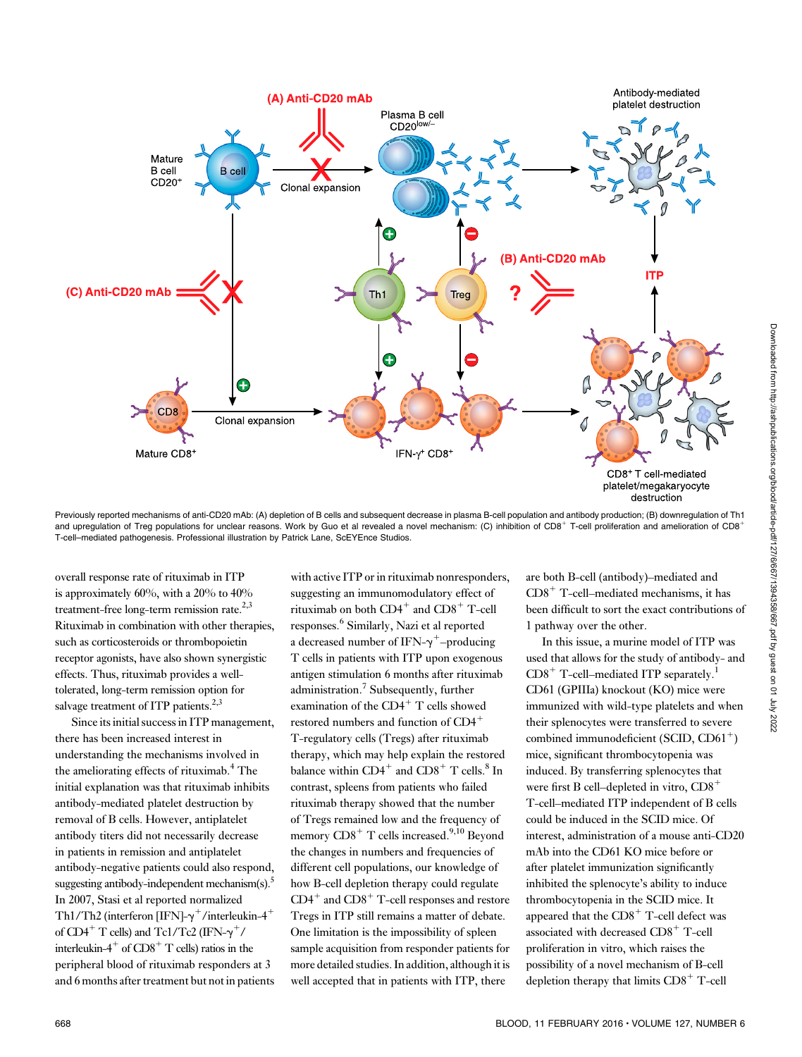

Previously reported mechanisms of anti-CD20 mAb: (A) depletion of B cells and subsequent decrease in plasma B-cell population and antibody production; (B) downregulation of Th1 and upregulation of Treg populations for unclear reasons. Work by Guo et al revealed a novel mechanism: (C) inhibition of CD8<sup>+</sup> T-cell proliferation and amelioration of CD8<sup>+</sup> T-cell–mediated pathogenesis. Professional illustration by Patrick Lane, ScEYEnce Studios.

overall response rate of rituximab in ITP is approximately 60%, with a 20% to 40% treatment-free long-term remission rate.<sup>2,3</sup> Rituximab in combination with other therapies, such as corticosteroids or thrombopoietin receptor agonists, have also shown synergistic effects. Thus, rituximab provides a welltolerated, long-term remission option for salvage treatment of ITP patients.<sup>2,3</sup>

Since its initial success in ITP management, there has been increased interest in understanding the mechanisms involved in the ameliorating effects of rituximab.<sup>4</sup> The initial explanation was that rituximab inhibits antibody-mediated platelet destruction by removal of B cells. However, antiplatelet antibody titers did not necessarily decrease in patients in remission and antiplatelet antibody-negative patients could also respond, suggesting antibody-independent mechanism $(s)$ .<sup>5</sup> In 2007, Stasi et al reported normalized Th1/Th2 (interferon [IFN]- $\gamma^+$ /interleukin-4<sup>+</sup> of CD4<sup>+</sup> T cells) and Tc1/Tc2 (IFN- $\gamma^+$ / interleukin-4<sup>+</sup> of  $CD8$ <sup>+</sup> T cells) ratios in the peripheral blood of rituximab responders at 3 and 6 months after treatment but not in patients

with active ITP or in rituximab nonresponders, suggesting an immunomodulatory effect of rituximab on both  $CD4^+$  and  $CD8^+$  T-cell responses.<sup>6</sup> Similarly, Nazi et al reported a decreased number of IFN- $\gamma^+$ –producing T cells in patients with ITP upon exogenous antigen stimulation 6 months after rituximab administration.<sup>7</sup> Subsequently, further examination of the  $CD4^+$  T cells showed restored numbers and function of CD4<sup>+</sup> T-regulatory cells (Tregs) after rituximab therapy, which may help explain the restored balance within  $CD4^+$  and  $CD8^+$  T cells.<sup>8</sup> In contrast, spleens from patients who failed rituximab therapy showed that the number of Tregs remained low and the frequency of memory  $CD8<sup>+</sup>$  T cells increased.<sup>9,10</sup> Beyond the changes in numbers and frequencies of different cell populations, our knowledge of how B-cell depletion therapy could regulate  $CD4^+$  and  $CD8^+$  T-cell responses and restore Tregs in ITP still remains a matter of debate. One limitation is the impossibility of spleen sample acquisition from responder patients for more detailed studies. In addition, although it is well accepted that in patients with ITP, there

are both B-cell (antibody)–mediated and  $CD8<sup>+</sup>$  T-cell–mediated mechanisms, it has been difficult to sort the exact contributions of 1 pathway over the other.

In this issue, a murine model of ITP was used that allows for the study of antibody- and  $CD8<sup>+</sup>$  T-cell–mediated ITP separately.<sup>1</sup> CD61 (GPIIIa) knockout (KO) mice were immunized with wild-type platelets and when their splenocytes were transferred to severe combined immunodeficient (SCID,  $CD61<sup>+</sup>$ ) mice, significant thrombocytopenia was induced. By transferring splenocytes that were first B cell–depleted in vitro,  $CD8<sup>+</sup>$ T-cell–mediated ITP independent of B cells could be induced in the SCID mice. Of interest, administration of a mouse anti-CD20 mAb into the CD61 KO mice before or after platelet immunization significantly inhibited the splenocyte's ability to induce thrombocytopenia in the SCID mice. It appeared that the  $CD8<sup>+</sup>$  T-cell defect was associated with decreased  $CD8<sup>+</sup>$  T-cell proliferation in vitro, which raises the possibility of a novel mechanism of B-cell depletion therapy that limits  $CD8<sup>+</sup>$  T-cell